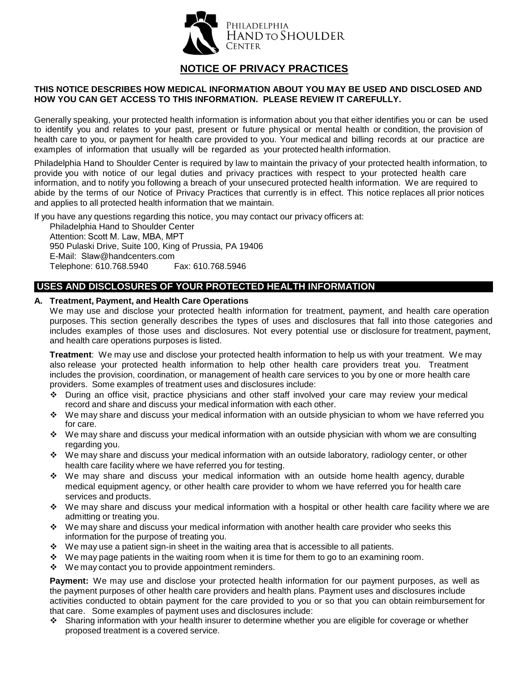

# **NOTICE OF PRIVACY PRACTICES**

## **THIS NOTICE DESCRIBES HOW MEDICAL INFORMATION ABOUT YOU MAY BE USED AND DISCLOSED AND HOW YOU CAN GET ACCESS TO THIS INFORMATION. PLEASE REVIEW IT CAREFULLY.**

Generally speaking, your protected health information is information about you that either identifies you or can be used to identify you and relates to your past, present or future physical or mental health or condition, the provision of health care to you, or payment for health care provided to you. Your medical and billing records at our practice are examples of information that usually will be regarded as your protected health information.

Philadelphia Hand to Shoulder Center is required by law to maintain the privacy of your protected health information, to provide you with notice of our legal duties and privacy practices with respect to your protected health care information, and to notify you following a breach of your unsecured protected health information. We are required to abide by the terms of our Notice of Privacy Practices that currently is in effect. This notice replaces all prior notices and applies to all protected health information that we maintain.

If you have any questions regarding this notice, you may contact our privacy officers at:

Philadelphia Hand to Shoulder Center Attention: Scott M. Law, MBA, MPT 950 Pulaski Drive, Suite 100, King of Prussia, PA 19406 E-Mail: Slaw[@handcenters.com](mailto:PrivacyOfficer@handcenters.com) Telephone: 610.768.5940 Fax: 610.768.5946

## **USES AND DISCLOSURES OF YOUR PROTECTED HEALTH INFORMATION**

### **A. Treatment, Payment, and Health Care Operations**

We may use and disclose your protected health information for treatment, payment, and health care operation purposes. This section generally describes the types of uses and disclosures that fall into those categories and includes examples of those uses and disclosures. Not every potential use or disclosure for treatment, payment, and health care operations purposes is listed.

**Treatment**: We may use and disclose your protected health information to help us with your treatment. We may also release your protected health information to help other health care providers treat you. Treatment includes the provision, coordination, or management of health care services to you by one or more health care providers. Some examples of treatment uses and disclosures include:

- During an office visit, practice physicians and other staff involved your care may review your medical record and share and discuss your medical information with each other.
- We may share and discuss your medical information with an outside physician to whom we have referred you for care.
- We may share and discuss your medical information with an outside physician with whom we are consulting regarding you.
- We may share and discuss your medical information with an outside laboratory, radiology center, or other health care facility where we have referred you for testing.
- We may share and discuss your medical information with an outside home health agency, durable medical equipment agency, or other health care provider to whom we have referred you for health care services and products.
- \* We may share and discuss your medical information with a hospital or other health care facility where we are admitting or treating you.
- \* We may share and discuss your medical information with another health care provider who seeks this information for the purpose of treating you.
- $\cdot \cdot$  We may use a patient sign-in sheet in the waiting area that is accessible to all patients.
- $\cdot \cdot$  We may page patients in the waiting room when it is time for them to go to an examining room.
- $\div$  We may contact you to provide appointment reminders.

**Payment:** We may use and disclose your protected health information for our payment purposes, as well as the payment purposes of other health care providers and health plans. Payment uses and disclosures include activities conducted to obtain payment for the care provided to you or so that you can obtain reimbursement for that care. Some examples of payment uses and disclosures include:

 Sharing information with your health insurer to determine whether you are eligible for coverage or whether proposed treatment is a covered service.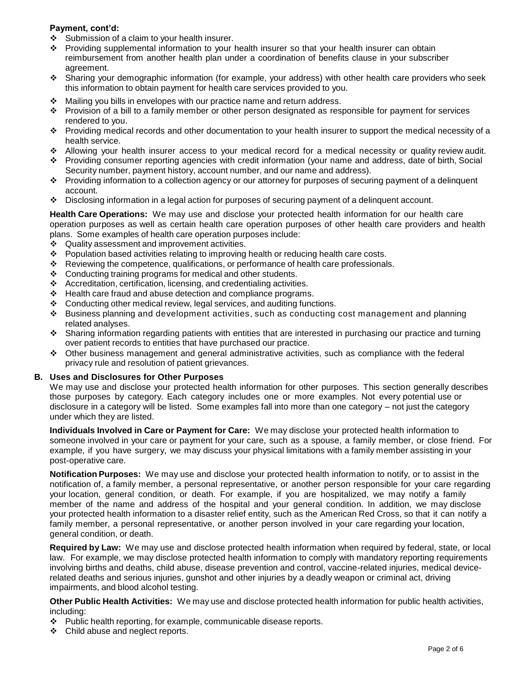## **Payment, cont'd:**

- $\div$  Submission of a claim to your health insurer.
- Providing supplemental information to your health insurer so that your health insurer can obtain reimbursement from another health plan under a coordination of benefits clause in your subscriber agreement.
- Sharing your demographic information (for example, your address) with other health care providers who seek this information to obtain payment for health care services provided to you.
- Mailing you bills in envelopes with our practice name and return address.
- Provision of a bill to a family member or other person designated as responsible for payment for services rendered to you.
- Providing medical records and other documentation to your health insurer to support the medical necessity of a health service.
- Allowing your health insurer access to your medical record for a medical necessity or quality review audit.
- Providing consumer reporting agencies with credit information (your name and address, date of birth, Social Security number, payment history, account number, and our name and address).
- Providing information to a collection agency or our attorney for purposes of securing payment of a delinquent account.
- Disclosing information in a legal action for purposes of securing payment of a delinquent account.

**Health Care Operations:** We may use and disclose your protected health information for our health care operation purposes as well as certain health care operation purposes of other health care providers and health plans. Some examples of health care operation purposes include:

- ❖ Quality assessment and improvement activities.
- $\div$  Population based activities relating to improving health or reducing health care costs.
- $\div$  Reviewing the competence, qualifications, or performance of health care professionals.
- $\div$  Conducting training programs for medical and other students.
- $\triangleleft$  Accreditation, certification, licensing, and credentialing activities.
- $\div$  Health care fraud and abuse detection and compliance programs.
- Conducting other medical review, legal services, and auditing functions.
- Business planning and development activities, such as conducting cost management and planning related analyses.
- Sharing information regarding patients with entities that are interested in purchasing our practice and turning over patient records to entities that have purchased our practice.
- Other business management and general administrative activities, such as compliance with the federal privacy rule and resolution of patient grievances.

#### **B. Uses and Disclosures for Other Purposes**

We may use and disclose your protected health information for other purposes. This section generally describes those purposes by category. Each category includes one or more examples. Not every potential use or disclosure in a category will be listed. Some examples fall into more than one category – not just the category under which they are listed.

**Individuals Involved in Care or Payment for Care:** We may disclose your protected health information to someone involved in your care or payment for your care, such as a spouse, a family member, or close friend. For example, if you have surgery, we may discuss your physical limitations with a family member assisting in your post-operative care.

**Notification Purposes:** We may use and disclose your protected health information to notify, or to assist in the notification of, a family member, a personal representative, or another person responsible for your care regarding your location, general condition, or death. For example, if you are hospitalized, we may notify a family member of the name and address of the hospital and your general condition. In addition, we may disclose your protected health information to a disaster relief entity, such as the American Red Cross, so that it can notify a family member, a personal representative, or another person involved in your care regarding your location, general condition, or death.

**Required by Law:** We may use and disclose protected health information when required by federal, state, or local law. For example, we may disclose protected health information to comply with mandatory reporting requirements involving births and deaths, child abuse, disease prevention and control, vaccine-related injuries, medical devicerelated deaths and serious injuries, gunshot and other injuries by a deadly weapon or criminal act, driving impairments, and blood alcohol testing.

**Other Public Health Activities:** We may use and disclose protected health information for public health activities, including:

- \* Public health reporting, for example, communicable disease reports.
- ❖ Child abuse and neglect reports.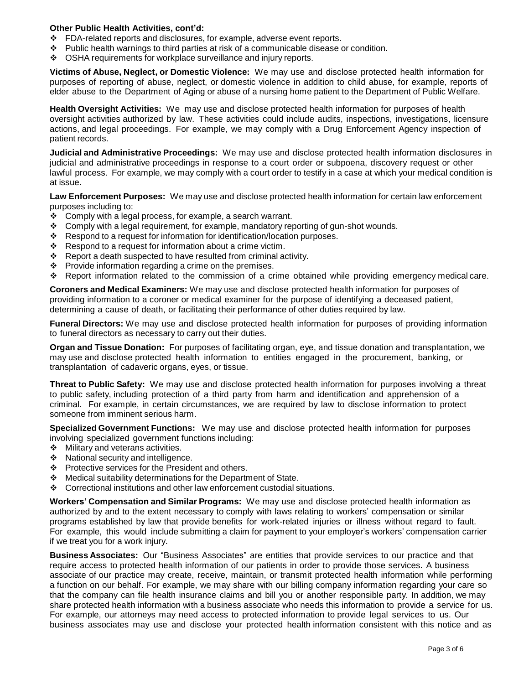#### **Other Public Health Activities, cont'd:**

- FDA-related reports and disclosures, for example, adverse event reports.
- $\div$  Public health warnings to third parties at risk of a communicable disease or condition.
- ◆ OSHA requirements for workplace surveillance and injury reports.

**Victims of Abuse, Neglect, or Domestic Violence:** We may use and disclose protected health information for purposes of reporting of abuse, neglect, or domestic violence in addition to child abuse, for example, reports of elder abuse to the Department of Aging or abuse of a nursing home patient to the Department of Public Welfare.

**Health Oversight Activities:** We may use and disclose protected health information for purposes of health oversight activities authorized by law. These activities could include audits, inspections, investigations, licensure actions, and legal proceedings. For example, we may comply with a Drug Enforcement Agency inspection of patient records.

**Judicial and Administrative Proceedings:** We may use and disclose protected health information disclosures in judicial and administrative proceedings in response to a court order or subpoena, discovery request or other lawful process. For example, we may comply with a court order to testify in a case at which your medical condition is at issue.

**Law Enforcement Purposes:** We may use and disclose protected health information for certain law enforcement purposes including to:

- $\div$  Comply with a legal process, for example, a search warrant.
- $\div$  Comply with a legal requirement, for example, mandatory reporting of gun-shot wounds.
- \* Respond to a request for information for identification/location purposes.
- $\div$  Respond to a request for information about a crime victim.
- $\div$  Report a death suspected to have resulted from criminal activity.
- $\div$  Provide information regarding a crime on the premises.
- Report information related to the commission of a crime obtained while providing emergency medical care.

**Coroners and Medical Examiners:** We may use and disclose protected health information for purposes of providing information to a coroner or medical examiner for the purpose of identifying a deceased patient, determining a cause of death, or facilitating their performance of other duties required by law.

**Funeral Directors:** We may use and disclose protected health information for purposes of providing information to funeral directors as necessary to carry out their duties.

**Organ and Tissue Donation:** For purposes of facilitating organ, eye, and tissue donation and transplantation, we may use and disclose protected health information to entities engaged in the procurement, banking, or transplantation of cadaveric organs, eyes, or tissue.

**Threat to Public Safety:** We may use and disclose protected health information for purposes involving a threat to public safety, including protection of a third party from harm and identification and apprehension of a criminal. For example, in certain circumstances, we are required by law to disclose information to protect someone from imminent serious harm.

**Specialized Government Functions:** We may use and disclose protected health information for purposes involving specialized government functions including:

- $\div$  Military and veterans activities.
- $\div$  National security and intelligence.
- ❖ Protective services for the President and others.
- Medical suitability determinations for the Department of State.
- $\div$  Correctional institutions and other law enforcement custodial situations.

**Workers' Compensation and Similar Programs:** We may use and disclose protected health information as authorized by and to the extent necessary to comply with laws relating to workers' compensation or similar programs established by law that provide benefits for work-related injuries or illness without regard to fault. For example, this would include submitting a claim for payment to your employer's workers' compensation carrier if we treat you for a work injury.

**Business Associates:** Our "Business Associates" are entities that provide services to our practice and that require access to protected health information of our patients in order to provide those services. A business associate of our practice may create, receive, maintain, or transmit protected health information while performing a function on our behalf. For example, we may share with our billing company information regarding your care so that the company can file health insurance claims and bill you or another responsible party. In addition, we may share protected health information with a business associate who needs this information to provide a service for us. For example, our attorneys may need access to protected information to provide legal services to us. Our business associates may use and disclose your protected health information consistent with this notice and as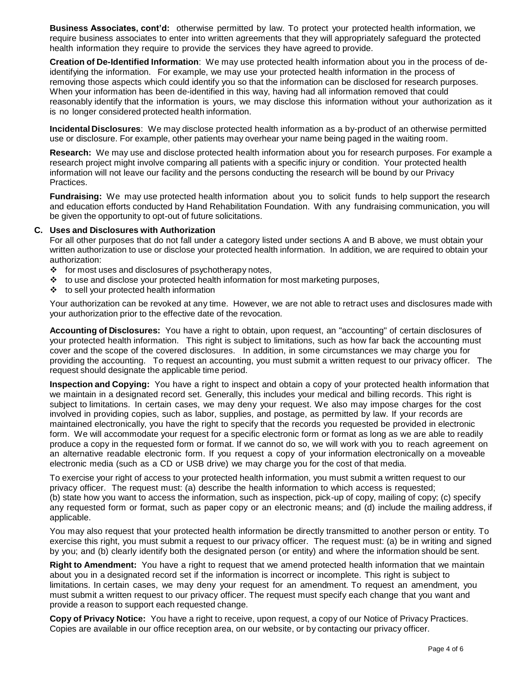**Business Associates, cont'd:** otherwise permitted by law. To protect your protected health information, we require business associates to enter into written agreements that they will appropriately safeguard the protected health information they require to provide the services they have agreed to provide.

**Creation of De-Identified Information**: We may use protected health information about you in the process of deidentifying the information. For example, we may use your protected health information in the process of removing those aspects which could identify you so that the information can be disclosed for research purposes. When your information has been de-identified in this way, having had all information removed that could reasonably identify that the information is yours, we may disclose this information without your authorization as it is no longer considered protected health information.

**Incidental Disclosures**: We may disclose protected health information as a by-product of an otherwise permitted use or disclosure. For example, other patients may overhear your name being paged in the waiting room.

**Research:** We may use and disclose protected health information about you for research purposes. For example a research project might involve comparing all patients with a specific injury or condition. Your protected health information will not leave our facility and the persons conducting the research will be bound by our Privacy Practices.

**Fundraising:** We may use protected health information about you to solicit funds to help support the research and education efforts conducted by Hand Rehabilitation Foundation. With any fundraising communication, you will be given the opportunity to opt-out of future solicitations.

#### **C. Uses and Disclosures with Authorization**

For all other purposes that do not fall under a category listed under sections A and B above, we must obtain your written authorization to use or disclose your protected health information. In addition, we are required to obtain your authorization:

- $\div$  for most uses and disclosures of psychotherapy notes,
- $\div$  to use and disclose your protected health information for most marketing purposes,
- ❖ to sell your protected health information

Your authorization can be revoked at any time. However, we are not able to retract uses and disclosures made with your authorization prior to the effective date of the revocation.

**Accounting of Disclosures:** You have a right to obtain, upon request, an "accounting" of certain disclosures of your protected health information. This right is subject to limitations, such as how far back the accounting must cover and the scope of the covered disclosures. In addition, in some circumstances we may charge you for providing the accounting. To request an accounting, you must submit a written request to our privacy officer. The request should designate the applicable time period.

**Inspection and Copying:** You have a right to inspect and obtain a copy of your protected health information that we maintain in a designated record set. Generally, this includes your medical and billing records. This right is subject to limitations. In certain cases, we may deny your request. We also may impose charges for the cost involved in providing copies, such as labor, supplies, and postage, as permitted by law. If your records are maintained electronically, you have the right to specify that the records you requested be provided in electronic form. We will accommodate your request for a specific electronic form or format as long as we are able to readily produce a copy in the requested form or format. If we cannot do so, we will work with you to reach agreement on an alternative readable electronic form. If you request a copy of your information electronically on a moveable electronic media (such as a CD or USB drive) we may charge you for the cost of that media.

To exercise your right of access to your protected health information, you must submit a written request to our privacy officer. The request must: (a) describe the health information to which access is requested; (b) state how you want to access the information, such as inspection, pick-up of copy, mailing of copy; (c) specify any requested form or format, such as paper copy or an electronic means; and (d) include the mailing address, if applicable.

You may also request that your protected health information be directly transmitted to another person or entity. To exercise this right, you must submit a request to our privacy officer. The request must: (a) be in writing and signed by you; and (b) clearly identify both the designated person (or entity) and where the information should be sent.

**Right to Amendment:** You have a right to request that we amend protected health information that we maintain about you in a designated record set if the information is incorrect or incomplete. This right is subject to limitations. In certain cases, we may deny your request for an amendment. To request an amendment, you must submit a written request to our privacy officer. The request must specify each change that you want and provide a reason to support each requested change.

**Copy of Privacy Notice:** You have a right to receive, upon request, a copy of our Notice of Privacy Practices. Copies are available in our office reception area, on our website, or by contacting our privacy officer.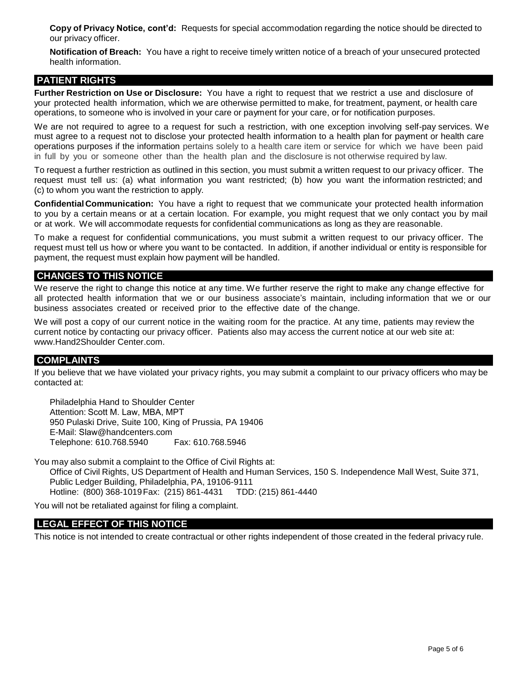**Copy of Privacy Notice, cont'd:** Requests for special accommodation regarding the notice should be directed to our privacy officer.

**Notification of Breach:** You have a right to receive timely written notice of a breach of your unsecured protected health information.

## **PATIENT RIGHTS**

**Further Restriction on Use or Disclosure:** You have a right to request that we restrict a use and disclosure of your protected health information, which we are otherwise permitted to make, for treatment, payment, or health care operations, to someone who is involved in your care or payment for your care, or for notification purposes.

We are not required to agree to a request for such a restriction, with one exception involving self-pay services. We must agree to a request not to disclose your protected health information to a health plan for payment or health care operations purposes if the information pertains solely to a health care item or service for which we have been paid in full by you or someone other than the health plan and the disclosure is not otherwise required by law.

To request a further restriction as outlined in this section, you must submit a written request to our privacy officer. The request must tell us: (a) what information you want restricted; (b) how you want the information restricted; and (c) to whom you want the restriction to apply.

**Confidential Communication:** You have a right to request that we communicate your protected health information to you by a certain means or at a certain location. For example, you might request that we only contact you by mail or at work. We will accommodate requests for confidential communications as long as they are reasonable.

To make a request for confidential communications, you must submit a written request to our privacy officer. The request must tell us how or where you want to be contacted. In addition, if another individual or entity is responsible for payment, the request must explain how payment will be handled.

### **CHANGES TO THIS NOTICE**

We reserve the right to change this notice at any time. We further reserve the right to make any change effective for all protected health information that we or our business associate's maintain, including information that we or our business associates created or received prior to the effective date of the change.

We will post a copy of our current notice in the waiting room for the practice. At any time, patients may review the current notice by contacting our privacy officer. Patients also may access the current notice at our web site at: [www.Hand2Shoulder Center.com.](http://www.handcenters.com/)

#### **COMPLAINTS**

If you believe that we have violated your privacy rights, you may submit a complaint to our privacy officers who may be contacted at:

Philadelphia Hand to Shoulder Center Attention: Scott M. Law, MBA, MPT 950 Pulaski Drive, Suite 100, King of Prussia, PA 19406 E-Mail: Slaw[@handcenters.com](mailto:PrivacyOfficer@handcenters.com)<br>Telephone: 610.768.5940 Fax: 610.768.5946 Telephone: 610.768.5940

You may also submit a complaint to the Office of Civil Rights at: Office of Civil Rights, US Department of Health and Human Services, 150 S. Independence Mall West, Suite 371, Public Ledger Building, Philadelphia, PA, 19106-9111 Hotline: (800) 368-1019 Fax: (215) 861-4431 TDD: (215) 861-4440

You will not be retaliated against for filing a complaint.

#### **LEGAL EFFECT OF THIS NOTICE**

This notice is not intended to create contractual or other rights independent of those created in the federal privacy rule.